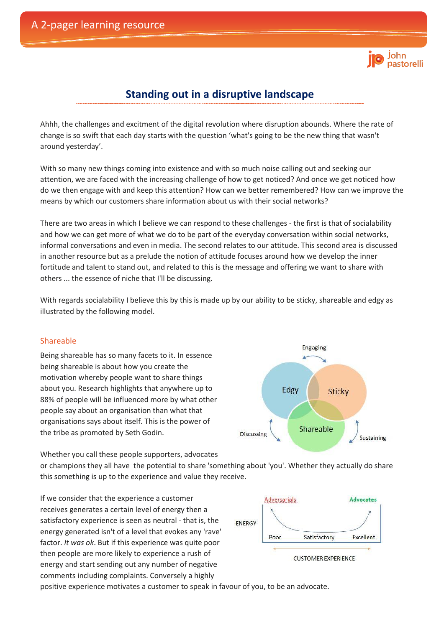# . . . . . .<br>pastorelli

# **Standing out in a disruptive landscape**

Ahhh, the challenges and excitment of the digital revolution where disruption abounds. Where the rate of change is so swift that each day starts with the question 'what's going to be the new thing that wasn't around yesterday'.

With so many new things coming into existence and with so much noise calling out and seeking our attention, we are faced with the increasing challenge of how to get noticed? And once we get noticed how do we then engage with and keep this attention? How can we better remembered? How can we improve the means by which our customers share information about us with their social networks?

There are two areas in which I believe we can respond to these challenges - the first is that of socialability and how we can get more of what we do to be part of the everyday conversation within social networks, informal conversations and even in media. The second relates to our attitude. This second area is discussed in another resource but as a prelude the notion of attitude focuses around how we develop the inner fortitude and talent to stand out, and related to this is the message and offering we want to share with others ... the essence of niche that I'll be discussing.

With regards socialability I believe this by this is made up by our ability to be sticky, shareable and edgy as illustrated by the following model.

## Shareable

Being shareable has so many facets to it. In essence being shareable is about how you create the motivation whereby people want to share things about you. Research highlights that anywhere up to 88% of people will be influenced more by what other people say about an organisation than what that organisations says about itself. This is the power of the tribe as promoted by Seth Godin.

Whether you call these people supporters, advocates

or champions they all have the potential to share 'something about 'you'. Whether they actually do share this something is up to the experience and value they receive.

If we consider that the experience a customer receives generates a certain level of energy then a satisfactory experience is seen as neutral - that is, the energy generated isn't of a level that evokes any 'rave' factor. *It was ok*. But if this experience was quite poor then people are more likely to experience a rush of energy and start sending out any number of negative comments including complaints. Conversely a highly



positive experience motivates a customer to speak in favour of you, to be an advocate.